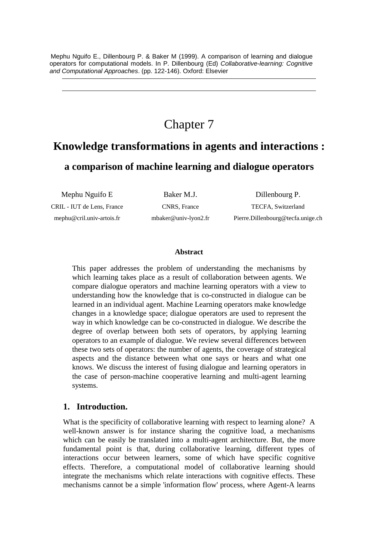Mephu Nguifo E., Dillenbourg P. & Baker M (1999). A comparison of learning and dialogue operators for computational models. In P. Dillenbourg (Ed) *Collaborative-learning: Cognitive and Computational Approaches*. (pp. 122-146). Oxford: Elsevier

# Chapter 7

## **Knowledge transformations in agents and interactions :**

**a comparison of machine learning and dialogue operators**

Mephu Nguifo E Baker M.J. Dillenbourg P. CRIL - IUT de Lens, France mephu@cril.univ-artois.fr

CNRS, France mbaker@univ-lyon2.fr

TECFA, Switzerland Pierre.Dillenbourg@tecfa.unige.ch

#### **Abstract**

This paper addresses the problem of understanding the mechanisms by which learning takes place as a result of collaboration between agents. We compare dialogue operators and machine learning operators with a view to understanding how the knowledge that is co-constructed in dialogue can be learned in an individual agent. Machine Learning operators make knowledge changes in a knowledge space; dialogue operators are used to represent the way in which knowledge can be co-constructed in dialogue. We describe the degree of overlap between both sets of operators, by applying learning operators to an example of dialogue. We review several differences between these two sets of operators: the number of agents, the coverage of strategical aspects and the distance between what one says or hears and what one knows. We discuss the interest of fusing dialogue and learning operators in the case of person-machine cooperative learning and multi-agent learning systems.

#### **1. Introduction.**

What is the specificity of collaborative learning with respect to learning alone? A well-known answer is for instance sharing the cognitive load, a mechanisms which can be easily be translated into a multi-agent architecture. But, the more fundamental point is that, during collaborative learning, different types of interactions occur between learners, some of which have specific cognitive effects. Therefore, a computational model of collaborative learning should integrate the mechanisms which relate interactions with cognitive effects. These mechanisms cannot be a simple 'information flow' process, where Agent-A learns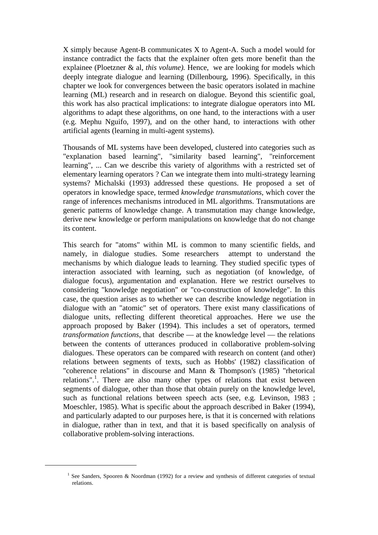X simply because Agent-B communicates X to Agent-A. Such a model would for instance contradict the facts that the explainer often gets more benefit than the explainee (Ploetzner & al, *this volume).* Hence, we are looking for models which deeply integrate dialogue and learning (Dillenbourg, 1996). Specifically, in this chapter we look for convergences between the basic operators isolated in machine learning (ML) research and in research on dialogue. Beyond this scientific goal, this work has also practical implications: to integrate dialogue operators into ML algorithms to adapt these algorithms, on one hand, to the interactions with a user (e.g. Mephu Nguifo, 1997), and on the other hand, to interactions with other artificial agents (learning in multi-agent systems).

Thousands of ML systems have been developed, clustered into categories such as "explanation based learning", "similarity based learning", "reinforcement learning", ... Can we describe this variety of algorithms with a restricted set of elementary learning operators ? Can we integrate them into multi-strategy learning systems? Michalski (1993) addressed these questions. He proposed a set of operators in knowledge space, termed *knowledge transmutations*, which cover the range of inferences mechanisms introduced in ML algorithms. Transmutations are generic patterns of knowledge change. A transmutation may change knowledge, derive new knowledge or perform manipulations on knowledge that do not change its content.

This search for "atoms" within ML is common to many scientific fields, and namely, in dialogue studies. Some researchers attempt to understand the mechanisms by which dialogue leads to learning. They studied specific types of interaction associated with learning, such as negotiation (of knowledge, of dialogue focus), argumentation and explanation. Here we restrict ourselves to considering "knowledge negotiation" or "co-construction of knowledge". In this case, the question arises as to whether we can describe knowledge negotiation in dialogue with an "atomic" set of operators. There exist many classifications of dialogue units, reflecting different theoretical approaches. Here we use the approach proposed by Baker (1994). This includes a set of operators, termed *transformation functions*, that describe — at the knowledge level — the relations between the contents of utterances produced in collaborative problem-solving dialogues. These operators can be compared with research on content (and other) relations between segments of texts, such as Hobbs' (1982) classification of "coherence relations" in discourse and Mann & Thompson's (1985) "rhetorical relations".<sup>1</sup>. There are also many other types of relations that exist between segments of dialogue, other than those that obtain purely on the knowledge level, such as functional relations between speech acts (see, e.g. Levinson, 1983 ; Moeschler, 1985). What is specific about the approach described in Baker (1994), and particularly adapted to our purposes here, is that it is concerned with relations in dialogue, rather than in text, and that it is based specifically on analysis of collaborative problem-solving interactions.

 $\overline{a}$ 

<sup>&</sup>lt;sup>1</sup> See Sanders, Spooren & Noordman (1992) for a review and synthesis of different categories of textual relations.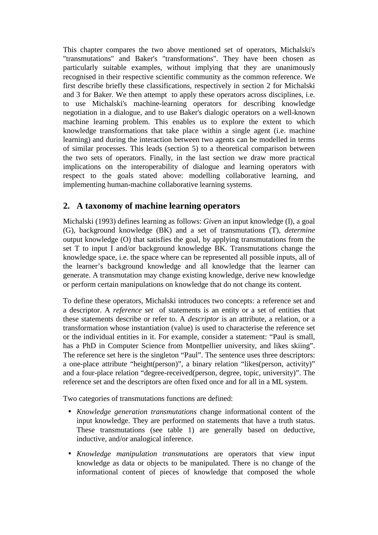This chapter compares the two above mentioned set of operators, Michalski's "transmutations" and Baker's "transformations". They have been chosen as particularly suitable examples, without implying that they are unanimously recognised in their respective scientific community as the common reference. We first describe briefly these classifications, respectively in section 2 for Michalski and 3 for Baker. We then attempt to apply these operators across disciplines, i.e. to use Michalski's machine-learning operators for describing knowledge negotiation in a dialogue, and to use Baker's dialogic operators on a well-known machine learning problem. This enables us to explore the extent to which knowledge transformations that take place within a single agent (i.e. machine learning) and during the interaction between two agents can be modelled in terms of similar processes. This leads (section 5) to a theoretical comparison between the two sets of operators. Finally, in the last section we draw more practical implications on the interoperability of dialogue and learning operators with respect to the goals stated above: modelling collaborative learning, and implementing human-machine collaborative learning systems.

## **2. A taxonomy of machine learning operators**

Michalski (1993) defines learning as follows: *Given* an input knowledge (I), a goal (G), background knowledge (BK) and a set of transmutations (T), *determine* output knowledge (O) that satisfies the goal, by applying transmutations from the set T to input I and/or background knowledge BK. Transmutations change the knowledge space, i.e. the space where can be represented all possible inputs, all of the learner's background knowledge and all knowledge that the learner can generate. A transmutation may change existing knowledge, derive new knowledge or perform certain manipulations on knowledge that do not change its content.

To define these operators, Michalski introduces two concepts: a reference set and a descriptor. A *reference set* of statements is an entity or a set of entities that these statements describe or refer to. A *descriptor* is an attribute, a relation, or a transformation whose instantiation (value) is used to characterise the reference set or the individual entities in it. For example, consider a statement: "Paul is small, has a PhD in Computer Science from Montpellier university, and likes skiing". The reference set here is the singleton "Paul". The sentence uses three descriptors: a one-place attribute "height(person)", a binary relation "likes(person, activity)" and a four-place relation "degree-received(person, degree, topic, university)". The reference set and the descriptors are often fixed once and for all in a ML system.

Two categories of transmutations functions are defined:

- *Knowledge generation transmutations* change informational content of the input knowledge. They are performed on statements that have a truth status. These transmutations (see table 1) are generally based on deductive, inductive, and/or analogical inference.
- *Knowledge manipulation transmutations* are operators that view input knowledge as data or objects to be manipulated. There is no change of the informational content of pieces of knowledge that composed the whole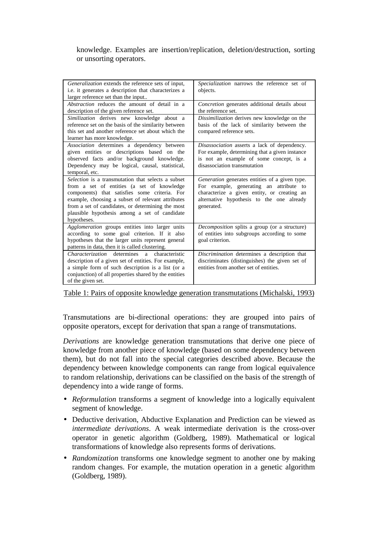#### knowledge. Examples are insertion/replication, deletion/destruction, sorting or unsorting operators.

| Generalization extends the reference sets of input,<br>i.e. it generates a description that characterizes a<br>larger reference set than the input                                                                                                                                                                          | Specialization narrows the reference set of<br>objects.                                                                                                                                             |
|-----------------------------------------------------------------------------------------------------------------------------------------------------------------------------------------------------------------------------------------------------------------------------------------------------------------------------|-----------------------------------------------------------------------------------------------------------------------------------------------------------------------------------------------------|
| <i>Abstraction</i> reduces the amount of detail in a<br>description of the given reference set.                                                                                                                                                                                                                             | Concretion generates additional details about<br>the reference set.                                                                                                                                 |
| Similization derives new knowledge about a<br>reference set on the basis of the similarity between<br>this set and another reference set about which the<br>learner has more knowledge.                                                                                                                                     | Dissimilization derives new knowledge on the<br>basis of the lack of similarity between the<br>compared reference sets.                                                                             |
| Association determines a dependency between<br>given entities or descriptions based on the<br>observed facts and/or background knowledge.<br>Dependency may be logical, causal, statistical,<br>temporal, etc.                                                                                                              | Disassociation asserts a lack of dependency.<br>For example, determining that a given instance<br>is not an example of some concept, is a<br>disassociation transmutation                           |
| Selection is a transmutation that selects a subset<br>from a set of entities (a set of knowledge<br>components) that satisfies some criteria. For<br>example, choosing a subset of relevant attributes<br>from a set of candidates, or determining the most<br>plausible hypothesis among a set of candidate<br>hypotheses. | Generation generates entities of a given type.<br>For example, generating an attribute to<br>characterize a given entity, or creating an<br>alternative hypothesis to the one already<br>generated. |
| Agglomeration groups entities into larger units<br>according to some goal criterion. If it also<br>hypotheses that the larger units represent general<br>patterns in data, then it is called clustering.                                                                                                                    | Decomposition splits a group (or a structure)<br>of entities into subgroups according to some<br>goal criterion.                                                                                    |
| <i>Characterization</i> determines a characteristic<br>description of a given set of entities. For example,<br>a simple form of such description is a list (or a<br>conjunction) of all properties shared by the entities<br>of the given set.                                                                              | Discrimination determines a description that<br>discriminates (distinguishes) the given set of<br>entities from another set of entities.                                                            |

Table 1: Pairs of opposite knowledge generation transmutations (Michalski, 1993)

Transmutations are bi-directional operations: they are grouped into pairs of opposite operators, except for derivation that span a range of transmutations.

*Derivations* are knowledge generation transmutations that derive one piece of knowledge from another piece of knowledge (based on some dependency between them), but do not fall into the special categories described above. Because the dependency between knowledge components can range from logical equivalence to random relationship, derivations can be classified on the basis of the strength of dependency into a wide range of forms.

- *Reformulation* transforms a segment of knowledge into a logically equivalent segment of knowledge.
- Deductive derivation, Abductive Explanation and Prediction can be viewed as *intermediate derivations*. A weak intermediate derivation is the cross-over operator in genetic algorithm (Goldberg, 1989). Mathematical or logical transformations of knowledge also represents forms of derivations.
- *Randomization* transforms one knowledge segment to another one by making random changes. For example, the mutation operation in a genetic algorithm (Goldberg, 1989).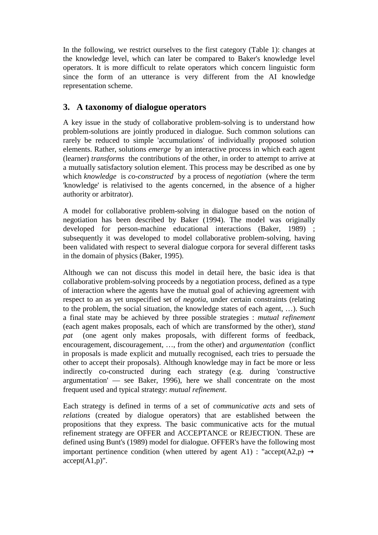In the following, we restrict ourselves to the first category (Table 1): changes at the knowledge level, which can later be compared to Baker's knowledge level operators. It is more difficult to relate operators which concern linguistic form since the form of an utterance is very different from the AI knowledge representation scheme.

## **3. A taxonomy of dialogue operators**

A key issue in the study of collaborative problem-solving is to understand how problem-solutions are jointly produced in dialogue. Such common solutions can rarely be reduced to simple 'accumulations' of individually proposed solution elements. Rather, solutions *emerge* by an interactive process in which each agent (learner) *transforms* the contributions of the other, in order to attempt to arrive at a mutually satisfactory solution element. This process may be described as one by which *knowledge* is *co-constructed* by a process of *negotiation* (where the term 'knowledge' is relativised to the agents concerned, in the absence of a higher authority or arbitrator).

A model for collaborative problem-solving in dialogue based on the notion of negotiation has been described by Baker (1994). The model was originally developed for person-machine educational interactions (Baker, 1989) ; subsequently it was developed to model collaborative problem-solving, having been validated with respect to several dialogue corpora for several different tasks in the domain of physics (Baker, 1995).

Although we can not discuss this model in detail here, the basic idea is that collaborative problem-solving proceeds by a negotiation process, defined as a type of interaction where the agents have the mutual goal of achieving agreement with respect to an as yet unspecified set of *negotia*, under certain constraints (relating to the problem, the social situation, the knowledge states of each agent, …). Such a final state may be achieved by three possible strategies : *mutual refinement* (each agent makes proposals, each of which are transformed by the other), *stand pat* (one agent only makes proposals, with different forms of feedback, encouragement, discouragement, …, from the other) and *argumentation* (conflict in proposals is made explicit and mutually recognised, each tries to persuade the other to accept their proposals). Although knowledge may in fact be more or less indirectly co-constructed during each strategy (e.g. during 'constructive argumentation' — see Baker, 1996), here we shall concentrate on the most frequent used and typical strategy: *mutual refinement*.

Each strategy is defined in terms of a set of *communicative acts* and sets of *relations* (created by dialogue operators) that are established between the propositions that they express. The basic communicative acts for the mutual refinement strategy are OFFER and ACCEPTANCE or REJECTION. These are defined using Bunt's (1989) model for dialogue. OFFER's have the following most important pertinence condition (when uttered by agent A1) : "accept(A2,p)  $\rightarrow$  $accept(A1,p)$ ".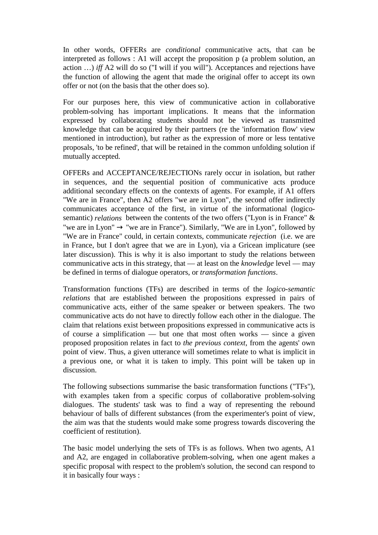In other words, OFFERs are *conditional* communicative acts, that can be interpreted as follows : A1 will accept the proposition p (a problem solution, an action …) *iff* A2 will do so ("I will if you will"). Acceptances and rejections have the function of allowing the agent that made the original offer to accept its own offer or not (on the basis that the other does so).

For our purposes here, this view of communicative action in collaborative problem-solving has important implications. It means that the information expressed by collaborating students should not be viewed as transmitted knowledge that can be acquired by their partners (re the 'information flow' view mentioned in introduction), but rather as the expression of more or less tentative proposals, 'to be refined', that will be retained in the common unfolding solution if mutually accepted.

OFFERs and ACCEPTANCE/REJECTIONs rarely occur in isolation, but rather in sequences, and the sequential position of communicative acts produce additional secondary effects on the contexts of agents. For example, if A1 offers "We are in France", then A2 offers "we are in Lyon", the second offer indirectly communicates acceptance of the first, in virtue of the informational (logicosemantic) *relations* between the contents of the two offers ("Lyon is in France" & "we are in Lyon"  $\rightarrow$  "we are in France"). Similarly, "We are in Lyon", followed by "We are in France" could, in certain contexts, communicate *rejection* (i.e. we are in France, but I don't agree that we are in Lyon), via a Gricean implicature (see later discussion). This is why it is also important to study the relations between communicative acts in this strategy, that — at least on the *knowledge* level — may be defined in terms of dialogue operators, or *transformation functions*.

Transformation functions (TFs) are described in terms of the *logico-semantic relations* that are established between the propositions expressed in pairs of communicative acts, either of the same speaker or between speakers. The two communicative acts do not have to directly follow each other in the dialogue. The claim that relations exist between propositions expressed in communicative acts is of course a simplification — but one that most often works — since a given proposed proposition relates in fact to *the previous context*, from the agents' own point of view. Thus, a given utterance will sometimes relate to what is implicit in a previous one, or what it is taken to imply. This point will be taken up in discussion.

The following subsections summarise the basic transformation functions ("TFs"), with examples taken from a specific corpus of collaborative problem-solving dialogues. The students' task was to find a way of representing the rebound behaviour of balls of different substances (from the experimenter's point of view, the aim was that the students would make some progress towards discovering the coefficient of restitution).

The basic model underlying the sets of TFs is as follows. When two agents, A1 and A2, are engaged in collaborative problem-solving, when one agent makes a specific proposal with respect to the problem's solution, the second can respond to it in basically four ways :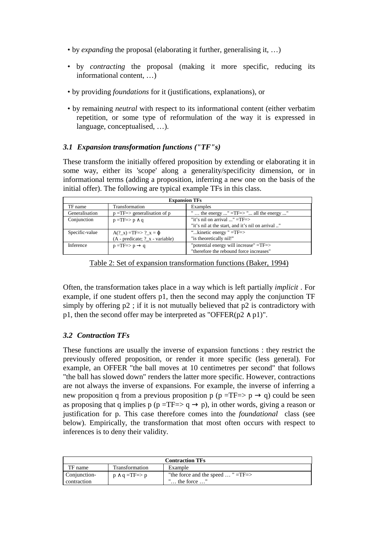- by *expanding* the proposal (elaborating it further, generalising it, …)
- by *contracting* the proposal (making it more specific, reducing its informational content, …)
- by providing *foundations* for it (justifications, explanations), or
- by remaining *neutral* with respect to its informational content (either verbatim repetition, or some type of reformulation of the way it is expressed in language, conceptualised, …).

#### *3.1 Expansion transformation functions ("TF"s)*

These transform the initially offered proposition by extending or elaborating it in some way, either its 'scope' along a generality/specificity dimension, or in informational terms (adding a proposition, inferring a new one on the basis of the initial offer). The following are typical example TFs in this class.

| <b>Expansion TFs</b> |                                          |                                                  |  |
|----------------------|------------------------------------------|--------------------------------------------------|--|
| TF name              | Transformation                           | Examples                                         |  |
| Generalisation       | $p = TF \Rightarrow$ generalisation of p | the energy " =TF=> " all the energy "            |  |
| Conjunction          | $p = TF \Rightarrow p \land q$           | "it's nil on arrival $\ldots$ " =TF=>            |  |
|                      |                                          | "it's nil at the start, and it's nil on arrival" |  |
| Specific-value       | $A(?_x) = TF = > ?_x = \varphi$          | " $kinetic energy$ " = $TF$ =>                   |  |
|                      | (A - predicate; ?_x - variable)          | "is theoretically nil!"                          |  |
| Inference            | $p = TF \Rightarrow p \rightarrow q$     | "potential energy will increase" =TF=>           |  |
|                      |                                          | "therefore the rebound force increases"          |  |

Table 2: Set of expansion transformation functions (Baker, 1994)

Often, the transformation takes place in a way which is left partially *implicit* . For example, if one student offers p1, then the second may apply the conjunction TF simply by offering p2 ; if it is not mutually believed that p2 is contradictory with p1, then the second offer may be interpreted as "OFFER( $p2 \wedge p1$ )".

#### *3.2 Contraction TFs*

These functions are usually the inverse of expansion functions : they restrict the previously offered proposition, or render it more specific (less general). For example, an OFFER "the ball moves at 10 centimetres per second" that follows "the ball has slowed down" renders the latter more specific. However, contractions are not always the inverse of expansions. For example, the inverse of inferring a new proposition q from a previous proposition p (p =TF=> p  $\rightarrow$  q) could be seen as proposing that q implies p (p =TF=> q  $\rightarrow$  p), in other words, giving a reason or justification for p. This case therefore comes into the *foundational* class (see below). Empirically, the transformation that most often occurs with respect to inferences is to deny their validity.

| <b>Contraction TFs</b>      |                                 |                                                                          |  |
|-----------------------------|---------------------------------|--------------------------------------------------------------------------|--|
| TF name                     | Transformation                  | Example                                                                  |  |
| Conjunction-<br>contraction | $p \wedge q = TF \Rightarrow p$ | "the force and the speed $\ldots$ " =TF=><br>$\ldots$ the force $\ldots$ |  |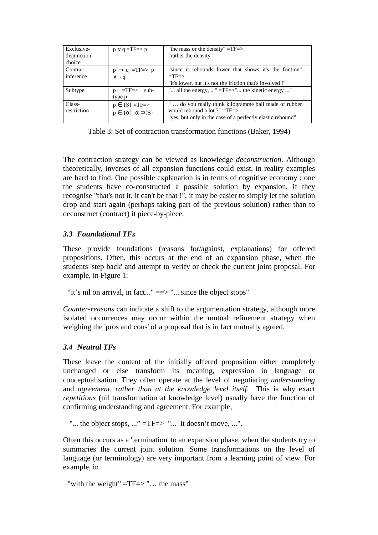| Exclusive-<br>disjunction-<br>choice | $p \vee q = TF \Rightarrow p$                                            | "the mass or the density" $=$ TF $=$ ><br>"rather the density"                                                                                      |  |
|--------------------------------------|--------------------------------------------------------------------------|-----------------------------------------------------------------------------------------------------------------------------------------------------|--|
| Contra-<br>inference                 | $p \rightarrow q = TF \Rightarrow p$<br>$\wedge \neg q$                  | "since it rebounds lower that shows it's the friction"<br>$=$ TF $=$ ><br>"it's lower, but it's not the friction that's involved!"                  |  |
| Subtype                              | $=$ TF $\Rightarrow$ sub-<br>$\mathbf{D}$<br>type p                      | " all the energy, " = $TF = > "$ the kinetic energy "                                                                                               |  |
| Class-<br>restriction                | $p \in \{S\} = TF \Rightarrow$<br>$p \in {\{\alpha\}, \alpha \supseteq}$ | do you really think kilogramme ball made of rubber<br>would rebound a lot $?$ " =TF=><br>"yes, but only in the case of a perfectly elastic rebound" |  |

Table 3: Set of contraction transformation functions (Baker, 1994)

The contraction strategy can be viewed as knowledge *deconstruction*. Although theoretically, inverses of all expansion functions could exist, in reality examples are hard to find. One possible explanation is in terms of cognitive economy : one the students have co-constructed a possible solution by expansion, if they recognise "that's not it, it can't be that !", it may be easier to simply let the solution drop and start again (perhaps taking part of the previous solution) rather than to deconstruct (contract) it piece-by-piece.

## *3.3 Foundational TFs*

These provide foundations (reasons for/against, explanations) for offered propositions. Often, this occurs at the end of an expansion phase, when the students 'step back' and attempt to verify or check the current joint proposal. For example, in Figure 1:

"it's nil on arrival, in fact..." = = > "... since the object stops"

*Counter-reasons* can indicate a shift to the argumentation strategy, although more isolated occurrences may occur within the mutual refinement strategy when weighing the 'pros and cons' of a proposal that is in fact mutually agreed.

#### *3.4 Neutral TFs*

These leave the content of the initially offered proposition either completely unchanged or else transform its meaning, expression in language or conceptualisation. They often operate at the level of negotiating *understanding* and *agreement, rather than at the knowledge level itself*. This is why exact *repetitions* (nil transformation at knowledge level) usually have the function of confirming understanding and agreement. For example,

"... the object stops, ..." =TF=> "... it doesn't move, ...".

Often this occurs as a 'termination' to an expansion phase, when the students try to summaries the current joint solution. Some transformations on the level of language (or terminology) are very important from a learning point of view. For example, in

```
"with the weight" =TF=>"... the mass"
```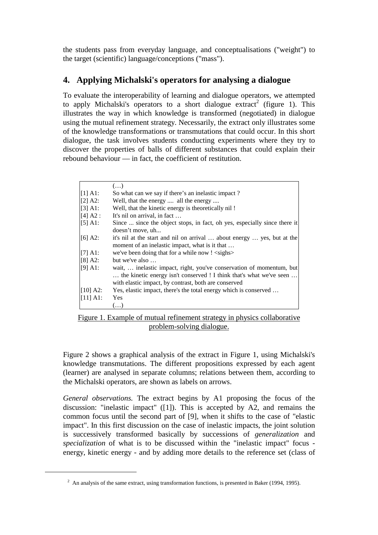the students pass from everyday language, and conceptualisations ("weight") to the target (scientific) language/conceptions ("mass").

## **4. Applying Michalski's operators for analysing a dialogue**

To evaluate the interoperability of learning and dialogue operators, we attempted to apply Michalski's operators to a short dialogue extract<sup>2</sup> (figure 1). This illustrates the way in which knowledge is transformed (negotiated) in dialogue using the mutual refinement strategy. Necessarily, the extract only illustrates some of the knowledge transformations or transmutations that could occur. In this short dialogue, the task involves students conducting experiments where they try to discover the properties of balls of different substances that could explain their rebound behaviour — in fact, the coefficient of restitution.

|            | $\left( \ldots \right)$                                                                                                                                                                             |
|------------|-----------------------------------------------------------------------------------------------------------------------------------------------------------------------------------------------------|
| $[1]$ A1:  | So what can we say if there's an inelastic impact?                                                                                                                                                  |
| [2] A2:    | Well, that the energy  all the energy                                                                                                                                                               |
| [3] A1:    | Well, that the kinetic energy is theoretically nil !                                                                                                                                                |
| [4] A2:    | It's nil on arrival, in fact                                                                                                                                                                        |
| $[5]$ A1:  | Since  since the object stops, in fact, oh yes, especially since there it<br>doesn't move, uh                                                                                                       |
| $[6]$ A2:  | it's nil at the start and nil on arrival  about energy  yes, but at the<br>moment of an inelastic impact, what is it that                                                                           |
| $[7]$ A1:  | we've been doing that for a while now ! <sighs></sighs>                                                                                                                                             |
| $[8] A2$ : | but we've also $\dots$                                                                                                                                                                              |
| $[9]$ A1:  | wait,  inelastic impact, right, you've conservation of momentum, but<br>the kinetic energy isn't conserved ! I think that's what we've seen<br>with elastic impact, by contrast, both are conserved |
| $[10]$ A2: | Yes, elastic impact, there's the total energy which is conserved                                                                                                                                    |
| [11] A1:   | <b>Yes</b>                                                                                                                                                                                          |
|            | $\left[ \ldots \right]$                                                                                                                                                                             |

Figure 1. Example of mutual refinement strategy in physics collaborative problem-solving dialogue.

Figure 2 shows a graphical analysis of the extract in Figure 1, using Michalski's knowledge transmutations. The different propositions expressed by each agent (learner) are analysed in separate columns; relations between them, according to the Michalski operators, are shown as labels on arrows.

*General observations.* The extract begins by A1 proposing the focus of the discussion: "inelastic impact" ([1]). This is accepted by A2, and remains the common focus until the second part of [9], when it shifts to the case of "elastic impact". In this first discussion on the case of inelastic impacts, the joint solution is successively transformed basically by successions of *generalization* and *specialization* of what is to be discussed within the "inelastic impact" focus energy, kinetic energy - and by adding more details to the reference set (class of

 $\overline{a}$ 

 $2$  An analysis of the same extract, using transformation functions, is presented in Baker (1994, 1995).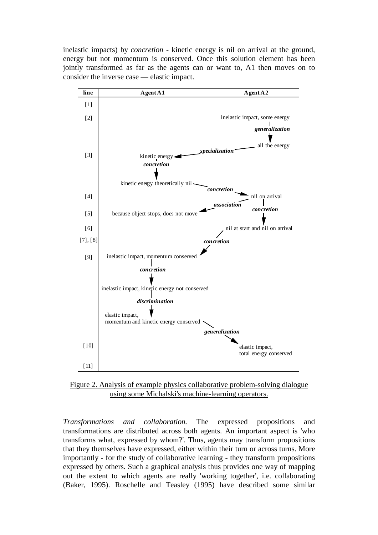inelastic impacts) by *concretion* - kinetic energy is nil on arrival at the ground, energy but not momentum is conserved. Once this solution element has been jointly transformed as far as the agents can or want to, A1 then moves on to consider the inverse case — elastic impact.



Figure 2. Analysis of example physics collaborative problem-solving dialogue using some Michalski's machine-learning operators.

*Transformations and collaboration.* The expressed propositions and transformations are distributed across both agents. An important aspect is 'who transforms what, expressed by whom?'. Thus, agents may transform propositions that they themselves have expressed, either within their turn or across turns. More importantly - for the study of collaborative learning - they transform propositions expressed by others. Such a graphical analysis thus provides one way of mapping out the extent to which agents are really 'working together', i.e. collaborating (Baker, 1995). Roschelle and Teasley (1995) have described some similar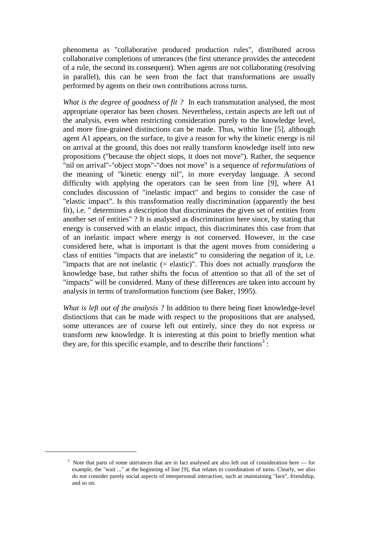phenomena as "collaborative produced production rules", distributed across collaborative completions of utterances (the first utterance provides the antecedent of a rule, the second its consequent). When agents are not collaborating (resolving in parallel), this can be seen from the fact that transformations are usually performed by agents on their own contributions across turns.

*What is the degree of goodness of fit ?* In each transmutation analysed, the most appropriate operator has been chosen. Nevertheless, certain aspects are left out of the analysis, even when restricting consideration purely to the knowledge level, and more fine-grained distinctions can be made. Thus, within line [5], although agent A1 appears, on the surface, to give a reason for why the kinetic energy is nil on arrival at the ground, this does not really transform knowledge itself into new propositions ("because the object stops, it does not move"). Rather, the sequence "nil on arrival"-"object stops"-"does not move" is a sequence of *reformulations* of the meaning of "kinetic energy nil", in more everyday language. A second difficulty with applying the operators can be seen from line [9], where A1 concludes discussion of "inelastic impact" and begins to consider the case of "elastic impact". Is this transformation really discrimination (apparently the best fit), i.e. " determines a description that discriminates the given set of entities from another set of entities" ? It is analysed as discrimination here since, by stating that energy is conserved with an elastic impact, this discriminates this case from that of an inelastic impact where energy is *not* conserved. However, in the case considered here, what is important is that the agent moves from considering a class of entities "impacts that are inelastic" to considering the negation of it, i.e. "impacts that are not inelastic (= elastic)". This does not actually *transform* the knowledge base, but rather shifts the focus of attention so that all of the set of "impacts" will be considered. Many of these differences are taken into account by analysis in terms of transformation functions (see Baker, 1995).

*What is left out of the analysis ?* In addition to there being finer knowledge-level distinctions that can be made with respect to the propositions that are analysed, some utterances are of course left out entirely, since they do not express or transform new knowledge. It is interesting at this point to briefly mention what they are, for this specific example, and to describe their functions<sup>3</sup>:

 $\overline{a}$ 

<sup>&</sup>lt;sup>3</sup> Note that parts of some utterances that are in fact analysed are also left out of consideration here — for example, the "wait ..." at the beginning of line [9], that relates to coordination of turns. Clearly, we also do not consider purely social aspects of interpersonal interaction, such as maintaining "face", friendship, and so on.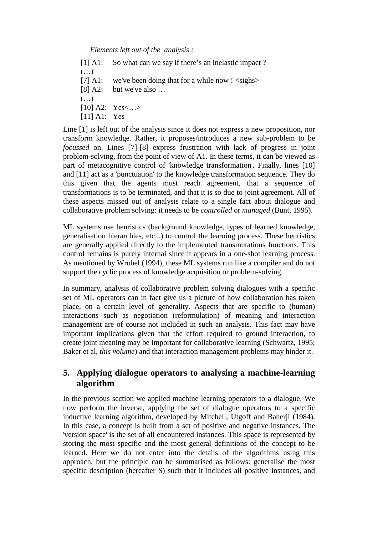*Elements left out of the analysis :*

[1] A1: So what can we say if there's an inelastic impact ?  $(\ldots)$ [7] A1: we've been doing that for a while now  $\leq$  sighs> [8] A2: but we've also ...  $(\ldots)$ [10] A2: Yes <... > [11] A1: Yes

Line [1] is left out of the analysis since it does not express a new proposition, nor transform knowledge. Rather, it proposes/introduces a new sub-problem to be *focussed* on. Lines [7]-[8] express frustration with lack of progress in joint problem-solving, from the point of view of A1. In these terms, it can be viewed as part of metacognitive control of 'knowledge transformation'. Finally, lines [10] and [11] act as a 'punctuation' to the knowledge transformation sequence. They do this given that the agents must reach agreement, that a sequence of transformations is to be terminated, and that it is so due to joint agreement. All of these aspects missed out of analysis relate to a single fact about dialogue and collaborative problem solving: it needs to be *controlled* or *managed* (Bunt, 1995).

ML systems use heuristics (background knowledge, types of learned knowledge, generalisation hierarchies, etc...) to control the learning process. These heuristics are generally applied directly to the implemented transmutations functions. This control remains is purely internal since it appears in a one-shot learning process. As mentioned by Wrobel (1994), these ML systems run like a compiler and do not support the cyclic process of knowledge acquisition or problem-solving.

In summary, analysis of collaborative problem solving dialogues with a specific set of ML operators can in fact give us a picture of how collaboration has taken place, on a certain level of generality. Aspects that are specific to (human) interactions such as negotiation (reformulation) of meaning and interaction management are of course not included in such an analysis. This fact may have important implications given that the effort required to ground interaction, to create joint meaning may be important for collaborative learning (Schwartz, 1995; Baker et al, *this volume*) and that interaction management problems may hinder it.

## **5. Applying dialogue operators to analysing a machine-learning algorithm**

In the previous section we applied machine learning operators to a dialogue. We now perform the inverse, applying the set of dialogue operators to a specific inductive learning algorithm, developed by Mitchell, Utgoff and Banerji (1984). In this case, a concept is built from a set of positive and negative instances. The 'version space' is the set of all encountered instances. This space is represented by storing the most specific and the most general definitions of the concept to be learned. Here we do not enter into the details of the algorithms using this approach, but the principle can be summarised as follows: generalise the most specific description (hereafter S) such that it includes all positive instances, and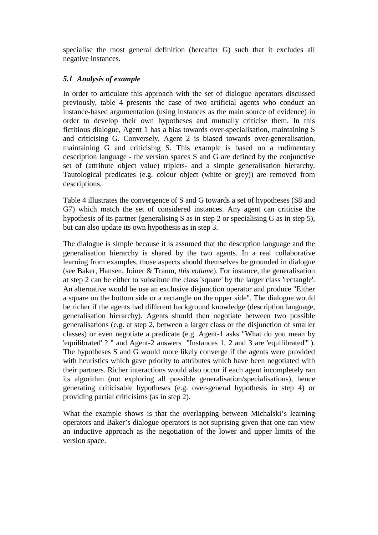specialise the most general definition (hereafter G) such that it excludes all negative instances.

#### *5.1 Analysis of example*

In order to articulate this approach with the set of dialogue operators discussed previously, table 4 presents the case of two artificial agents who conduct an instance-based argumentation (using instances as the main source of evidence) in order to develop their own hypotheses and mutually criticise them. In this fictitious dialogue, Agent 1 has a bias towards over-specialisation, maintaining S and criticising G. Conversely, Agent 2 is biased towards over-generalisation, maintaining G and criticising S. This example is based on a rudimentary description language - the version spaces S and G are defined by the conjunctive set of (attribute object value) triplets- and a simple generalisation hierarchy. Tautological predicates (e.g. colour object (white or grey)) are removed from descriptions.

Table 4 illustrates the convergence of S and G towards a set of hypotheses (S8 and G7) which match the set of considered instances. Any agent can criticise the hypothesis of its partner (generalising S as in step 2 or specialising G as in step 5), but can also update its own hypothesis as in step 3.

The dialogue is simple because it is assumed that the descrption language and the generalisation hierarchy is shared by the two agents. In a real collaborative learning from examples, those aspects should themselves be grounded in dialogue (see Baker, Hansen, Joiner & Traum, *this volume*). For instance, the generalisation at step 2 can be either to substitute the class 'square' by the larger class 'rectangle'. An alternative would be use an exclusive disjunction operator and produce "Either a square on the bottom side or a rectangle on the upper side". The dialogue would be richer if the agents had different background knowledge (description language, generalisation hierarchy). Agents should then negotiate between two possible generalisations (e.g. at step 2, between a larger class or the disjunction of smaller classes) or even negotiate a predicate (e.g. Agent-1 asks "What do you mean by 'equilibrated' ? " and Agent-2 answers "Instances 1, 2 and 3 are 'equilibrated'" ). The hypotheses S and G would more likely converge if the agents were provided with heuristics which gave priority to attributes which have been negotiated with their partners. Richer interactions would also occur if each agent incompletely ran its algorithm (not exploring all possible generalisation/specialisations), hence generating criticisable hypotheses (e.g. over-general hypothesis in step 4) or providing partial criticisims (as in step 2).

What the example shows is that the overlapping between Michalski's learning operators and Baker's dialogue operators is not suprising given that one can view an inductive approach as the negotiation of the lower and upper limits of the version space.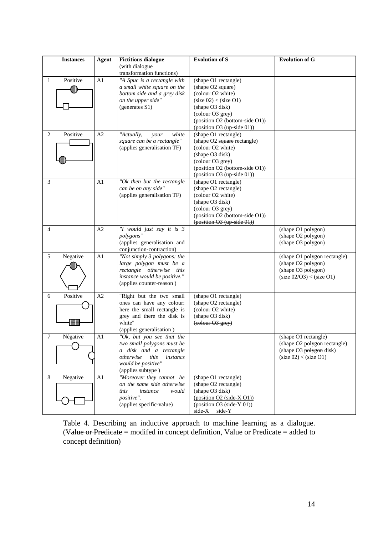|                | <b>Instances</b> | <b>Agent</b> | <b>Fictitious dialogue</b>                                                                                                                                    | <b>Evolution of S</b>                                                                                                                                                                          | <b>Evolution of G</b>                                                                                    |
|----------------|------------------|--------------|---------------------------------------------------------------------------------------------------------------------------------------------------------------|------------------------------------------------------------------------------------------------------------------------------------------------------------------------------------------------|----------------------------------------------------------------------------------------------------------|
|                |                  |              | (with dialogue<br>transformation functions)                                                                                                                   |                                                                                                                                                                                                |                                                                                                          |
| 1              | Positive         | A1           | "A Spuc is a rectangle with<br>a small white square on the<br>bottom side and a grey disk<br>on the upper side"<br>(generates S1)                             | (shape O1 rectangle)<br>(shape O2 square)<br>(colour O2 white)<br>(size 02) < (size 01)<br>(shape O3 disk)<br>(colour O3 grey)<br>(position O2 (bottom-side O1))<br>(position O3 (up-side 01)) |                                                                                                          |
| $\overline{c}$ | Positive         | A2           | "Actually,<br>white<br>your<br>square can be a rectangle"<br>(applies generalisation TF)                                                                      | (shape O1 rectangle)<br>(shape O2 square rectangle)<br>(colour O2 white)<br>(shape O3 disk)<br>(colour O3 grey)<br>(position O2 (bottom-side O1))<br>(position O3 (up-side 01))                |                                                                                                          |
| 3              |                  | A1           | "Ok then but the rectangle<br>can be on any side"<br>(applies generalisation TF)                                                                              | (shape O1 rectangle)<br>(shape O2 rectangle)<br>(colour O2 white)<br>(shape O3 disk)<br>(colour O3 grey)<br>(position O2 (bottom-side O1))<br>$(position O3 (up-side 01))$                     |                                                                                                          |
| $\overline{4}$ |                  | A2           | "I would just say it is 3<br>polygons"<br>(applies generalisation and<br>conjunction-contraction)                                                             |                                                                                                                                                                                                | (shape O1 polygon)<br>(shape O2 polygon)<br>(shape O3 polygon)                                           |
| 5              | Negative         | A1           | "Not simply 3 polygons: the<br>large polygon must be a<br>rectangle otherwise this<br>instance would be positive."<br>(applies counter-reason)                |                                                                                                                                                                                                | (shape O1 polygon rectangle)<br>(shape O2 polygon)<br>(shape O3 polygon)<br>(size 02/O3) < (size O1)     |
| 6              | Positive         | A2           | "Right but the two small<br>ones can have any colour:<br>here the small rectangle is<br>grey and there the disk is<br>white"<br>(applies generalisation)      | (shape O1 rectangle)<br>(shape O2 rectangle)<br>(colour O2 white)<br>(shape O3 disk)<br>(colour O3 grey)                                                                                       |                                                                                                          |
| 7              | Négative         | A1           | "Ok, but you see that the<br>two small polygons must be<br>a disk and a rectangle<br>this<br>otherwise<br>instancs<br>would be positive"<br>(applies subtype) |                                                                                                                                                                                                | (shape O1 rectangle)<br>(shape O2 polygon rectangle)<br>(shape O3 polygon disk)<br>(size 02) < (size 01) |
| 8              | Negative         | A1           | "Moreover they cannot be<br>on the same side otherwise<br>this<br>instance<br>would<br>positive".<br>(applies specific-value)                                 | (shape O1 rectangle)<br>(shape O2 rectangle)<br>(shape O3 disk)<br>$(position O2 (side-X O1))$<br>$(position O3 (side-Y 01))$<br>$side-X$ side-Y                                               |                                                                                                          |

Table 4. Describing an inductive approach to machine learning as a dialogue. (Value or Predicate  $=$  modifed in concept definition, Value or Predicate  $=$  added to concept definition)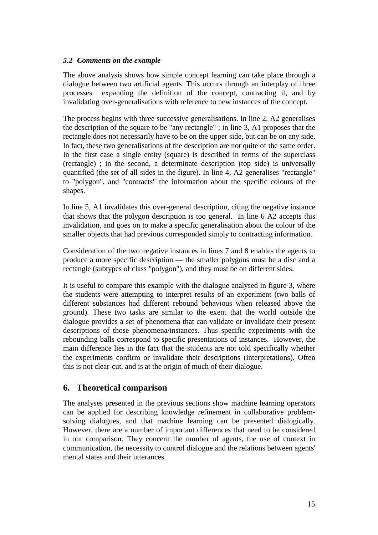#### *5.2 Comments on the example*

The above analysis shows how simple concept learning can take place through a dialogue between two artificial agents. This occurs through an interplay of three processes expanding the definition of the concept, contracting it, and by invalidating over-generalisations with reference to new instances of the concept.

The process begins with three successive generalisations. In line 2, A2 generalises the description of the square to be "any rectangle" ; in line 3, A1 proposes that the rectangle does not necessarily have to be on the upper side, but can be on any side. In fact, these two generalisations of the description are not quite of the same order. In the first case a single entity (square) is described in terms of the superclass (rectangle) ; in the second, a determinate description (top side) is universally quantified (the set of all sides in the figure). In line 4, A2 generalises "rectangle" to "polygon", and "contracts" the information about the specific colours of the shapes.

In line 5, A1 invalidates this over-general description, citing the negative instance that shows that the polygon description is too general. In line 6 A2 accepts this invalidation, and goes on to make a specific generalisation about the colour of the smaller objects that had previous corresponded simply to contracting information.

Consideration of the two negative instances in lines 7 and 8 enables the agents to produce a more specific description — the smaller polygons must be a disc and a rectangle (subtypes of class "polygon"), and they must be on different sides.

It is useful to compare this example with the dialogue analysed in figure 3, where the students were attempting to interpret results of an experiment (two balls of different substances had different rebound behavious when released above the ground). These two tasks are similar to the exent that the world outside the dialogue provides a set of phenomena that can validate or invalidate their present descriptions of those phenomena/instances. Thus specific experiments with the rebounding balls correspond to specific presentations of instances. However, the main difference lies in the fact that the students are not told specifically whether the experiments confirm or invalidate their descriptions (interpretations). Often this is not clear-cut, and is at the origin of much of their dialogue.

## **6. Theoretical comparison**

The analyses presented in the previous sections show machine learning operators can be applied for describing knowledge refinement in collaborative problemsolving dialogues, and that machine learning can be presented dialogically. However, there are a number of important differences that need to be considered in our comparison. They concern the number of agents, the use of context in communication, the necessity to control dialogue and the relations between agents' mental states and their utterances.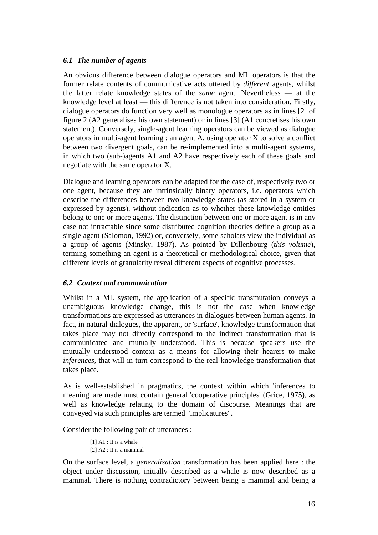#### *6.1 The number of agents*

An obvious difference between dialogue operators and ML operators is that the former relate contents of communicative acts uttered by *different* agents, whilst the latter relate knowledge states of the *same* agent. Nevertheless — at the knowledge level at least — this difference is not taken into consideration. Firstly, dialogue operators do function very well as monologue operators as in lines [2] of figure 2 (A2 generalises his own statement) or in lines [3] (A1 concretises his own statement). Conversely, single-agent learning operators can be viewed as dialogue operators in multi-agent learning : an agent A, using operator X to solve a conflict between two divergent goals, can be re-implemented into a multi-agent systems, in which two (sub-)agents A1 and A2 have respectively each of these goals and negotiate with the same operator X.

Dialogue and learning operators can be adapted for the case of, respectively two or one agent, because they are intrinsically binary operators, i.e. operators which describe the differences between two knowledge states (as stored in a system or expressed by agents), without indication as to whether these knowledge entities belong to one or more agents. The distinction between one or more agent is in any case not intractable since some distributed cognition theories define a group as a single agent (Salomon, 1992) or, conversely, some scholars view the individual as a group of agents (Minsky, 1987). As pointed by Dillenbourg (*this volume*), terming something an agent is a theoretical or methodological choice, given that different levels of granularity reveal different aspects of cognitive processes.

#### *6.2 Context and communication*

Whilst in a ML system, the application of a specific transmutation conveys a unambiguous knowledge change, this is not the case when knowledge transformations are expressed as utterances in dialogues between human agents. In fact, in natural dialogues, the apparent, or 'surface', knowledge transformation that takes place may not directly correspond to the indirect transformation that is communicated and mutually understood. This is because speakers use the mutually understood context as a means for allowing their hearers to make *inferences*, that will in turn correspond to the real knowledge transformation that takes place.

As is well-established in pragmatics, the context within which 'inferences to meaning' are made must contain general 'cooperative principles' (Grice, 1975), as well as knowledge relating to the domain of discourse. Meanings that are conveyed via such principles are termed "implicatures".

Consider the following pair of utterances :

[1] A1 : It is a whale  $[2]$  A $2$  : It is a mammal

On the surface level, a *generalisation* transformation has been applied here : the object under discussion, initially described as a whale is now described as a mammal. There is nothing contradictory between being a mammal and being a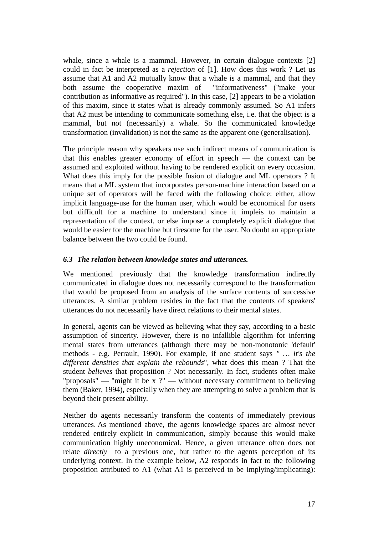whale, since a whale is a mammal. However, in certain dialogue contexts [2] could in fact be interpreted as a *rejection* of [1]. How does this work ? Let us assume that A1 and A2 mutually know that a whale is a mammal, and that they both assume the cooperative maxim of "informativeness" ("make your contribution as informative as required"). In this case, [2] appears to be a violation of this maxim, since it states what is already commonly assumed. So A1 infers that A2 must be intending to communicate something else, i.e. that the object is a mammal, but not (necessarily) a whale. So the communicated knowledge transformation (invalidation) is not the same as the apparent one (generalisation).

The principle reason why speakers use such indirect means of communication is that this enables greater economy of effort in speech — the context can be assumed and exploited without having to be rendered explicit on every occasion. What does this imply for the possible fusion of dialogue and ML operators ? It means that a ML system that incorporates person-machine interaction based on a unique set of operators will be faced with the following choice: either, allow implicit language-use for the human user, which would be economical for users but difficult for a machine to understand since it impleis to maintain a representation of the context, or else impose a completely explicit dialogue that would be easier for the machine but tiresome for the user. No doubt an appropriate balance between the two could be found.

#### *6.3 The relation between knowledge states and utterances.*

We mentioned previously that the knowledge transformation indirectly communicated in dialogue does not necessarily correspond to the transformation that would be proposed from an analysis of the surface contents of successive utterances. A similar problem resides in the fact that the contents of speakers' utterances do not necessarily have direct relations to their mental states.

In general, agents can be viewed as believing what they say, according to a basic assumption of sincerity. However, there is no infallible algorithm for inferring mental states from utterances (although there may be non-monotonic 'default' methods - e.g. Perrault, 1990). For example, if one student says *" … it's the different densities that explain the rebounds*", what does this mean ? That the student *believes* that proposition ? Not necessarily. In fact, students often make "proposals" — "might it be  $x$  ?" — without necessary commitment to believing them (Baker, 1994), especially when they are attempting to solve a problem that is beyond their present ability.

Neither do agents necessarily transform the contents of immediately previous utterances. As mentioned above, the agents knowledge spaces are almost never rendered entirely explicit in communication, simply because this would make communication highly uneconomical. Hence, a given utterance often does not relate *directly* to a previous one, but rather to the agents perception of its underlying context. In the example below, A2 responds in fact to the following proposition attributed to A1 (what A1 is perceived to be implying/implicating):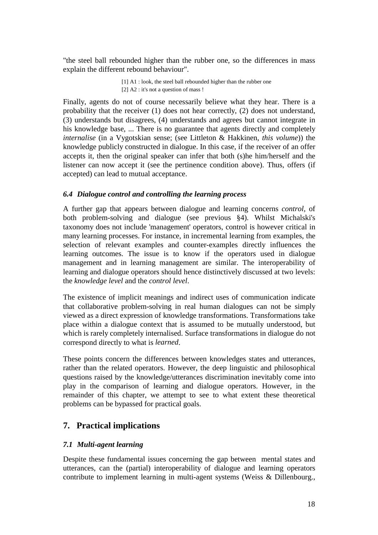"the steel ball rebounded higher than the rubber one, so the differences in mass explain the different rebound behaviour".

> [1] A1 : look, the steel ball rebounded higher than the rubber one [2] A2 : it's not a question of mass !

Finally, agents do not of course necessarily believe what they hear. There is a probability that the receiver (1) does not hear correctly, (2) does not understand, (3) understands but disagrees, (4) understands and agrees but cannot integrate in his knowledge base, ... There is no guarantee that agents directly and completely *internalise* (in a Vygotskian sense; (see Littleton & Hakkinen, *this volume*)) the knowledge publicly constructed in dialogue. In this case, if the receiver of an offer accepts it, then the original speaker can infer that both (s)he him/herself and the listener can now accept it (see the pertinence condition above). Thus, offers (if accepted) can lead to mutual acceptance.

#### *6.4 Dialogue control and controlling the learning process*

A further gap that appears between dialogue and learning concerns *control*, of both problem-solving and dialogue (see previous §4). Whilst Michalski's taxonomy does not include 'management' operators, control is however critical in many learning processes. For instance, in incremental learning from examples, the selection of relevant examples and counter-examples directly influences the learning outcomes. The issue is to know if the operators used in dialogue management and in learning management are similar. The interoperability of learning and dialogue operators should hence distinctively discussed at two levels: the *knowledge level* and the *control level*.

The existence of implicit meanings and indirect uses of communication indicate that collaborative problem-solving in real human dialogues can not be simply viewed as a direct expression of knowledge transformations. Transformations take place within a dialogue context that is assumed to be mutually understood, but which is rarely completely internalised. Surface transformations in dialogue do not correspond directly to what is *learned*.

These points concern the differences between knowledges states and utterances, rather than the related operators. However, the deep linguistic and philosophical questions raised by the knowledge/utterances discrimination inevitably come into play in the comparison of learning and dialogue operators. However, in the remainder of this chapter, we attempt to see to what extent these theoretical problems can be bypassed for practical goals.

## **7. Practical implications**

#### *7.1 Multi-agent learning*

Despite these fundamental issues concerning the gap between mental states and utterances, can the (partial) interoperability of dialogue and learning operators contribute to implement learning in multi-agent systems (Weiss & Dillenbourg.,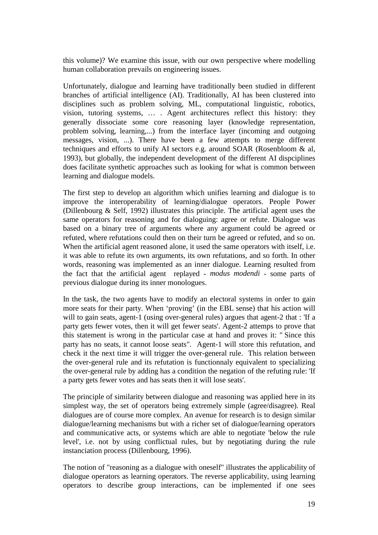this volume)? We examine this issue, with our own perspective where modelling human collaboration prevails on engineering issues.

Unfortunately, dialogue and learning have traditionally been studied in different branches of artificial intelligence (AI). Traditionally, AI has been clustered into disciplines such as problem solving, ML, computational linguistic, robotics, vision, tutoring systems, … . Agent architectures reflect this history: they generally dissociate some core reasoning layer (knowledge representation, problem solving, learning,...) from the interface layer (incoming and outgoing messages, vision, ...). There have been a few attempts to merge different techniques and efforts to unify AI sectors e.g. around SOAR (Rosenbloom & al, 1993), but globally, the independent development of the different AI dispciplines does facilitate synthetic approaches such as looking for what is common between learning and dialogue models.

The first step to develop an algorithm which unifies learning and dialogue is to improve the interoperability of learning/dialogue operators. People Power (Dillenbourg & Self, 1992) illustrates this principle. The artificial agent uses the same operators for reasoning and for dialoguing: agree or refute. Dialogue was based on a binary tree of arguments where any argument could be agreed or refuted, where refutations could then on their turn be agreed or refuted, and so on. When the artificial agent reasoned alone, it used the same operators with itself, i.e. it was able to refute its own arguments, its own refutations, and so forth. In other words, reasoning was implemented as an inner dialogue. Learning resulted from the fact that the artificial agent replayed - *modus modendi* - some parts of previous dialogue during its inner monologues.

In the task, the two agents have to modify an electoral systems in order to gain more seats for their party. When 'proving' (in the EBL sense) that his action will will to gain seats, agent-1 (using over-general rules) argues that agent-2 that : 'If a party gets fewer votes, then it will get fewer seats'. Agent-2 attemps to prove that this statement is wrong in the particular case at hand and proves it: " Since this party has no seats, it cannot loose seats". Agent-1 will store this refutation, and check it the next time it will trigger the over-general rule. This relation between the over-general rule and its refutation is functionnaly equivalent to specializing the over-general rule by adding has a condition the negation of the refuting rule: 'If a party gets fewer votes and has seats then it will lose seats'.

The principle of similarity between dialogue and reasoning was applied here in its simplest way, the set of operators being extremely simple (agree/disagree). Real dialogues are of course more complex. An avenue for research is to design similar dialogue/learning mechanisms but with a richer set of dialogue/learning operators and communicative acts, or systems which are able to negotiate 'below the rule level', i.e. not by using conflictual rules, but by negotiating during the rule instanciation process (Dillenbourg, 1996).

The notion of "reasoning as a dialogue with oneself" illustrates the applicability of dialogue operators as learning operators. The reverse applicability, using learning operators to describe group interactions, can be implemented if one sees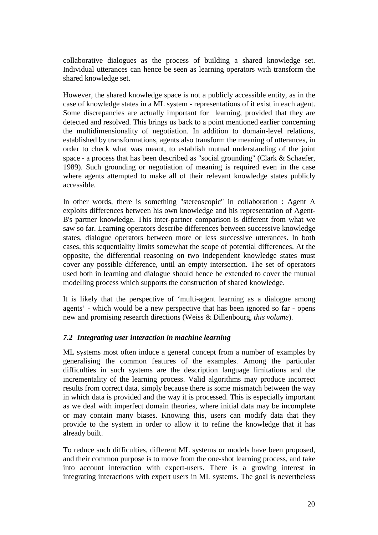collaborative dialogues as the process of building a shared knowledge set. Individual utterances can hence be seen as learning operators with transform the shared knowledge set.

However, the shared knowledge space is not a publicly accessible entity, as in the case of knowledge states in a ML system - representations of it exist in each agent. Some discrepancies are actually important for learning, provided that they are detected and resolved. This brings us back to a point mentioned earlier concerning the multidimensionality of negotiation. In addition to domain-level relations, established by transformations, agents also transform the meaning of utterances, in order to check what was meant, to establish mutual understanding of the joint space - a process that has been described as "social grounding" (Clark & Schaefer, 1989). Such grounding or negotiation of meaning is required even in the case where agents attempted to make all of their relevant knowledge states publicly accessible.

In other words, there is something "stereoscopic" in collaboration : Agent A exploits differences between his own knowledge and his representation of Agent-B's partner knowledge. This inter-partner comparison is different from what we saw so far. Learning operators describe differences between successive knowledge states, dialogue operators between more or less successive utterances. In both cases, this sequentiality limits somewhat the scope of potential differences. At the opposite, the differential reasoning on two independent knowledge states must cover any possible difference, until an empty intersection. The set of operators used both in learning and dialogue should hence be extended to cover the mutual modelling process which supports the construction of shared knowledge.

It is likely that the perspective of 'multi-agent learning as a dialogue among agents' - which would be a new perspective that has been ignored so far - opens new and promising research directions (Weiss & Dillenbourg, *this volume*).

#### *7.2 Integrating user interaction in machine learning*

ML systems most often induce a general concept from a number of examples by generalising the common features of the examples. Among the particular difficulties in such systems are the description language limitations and the incrementality of the learning process. Valid algorithms may produce incorrect results from correct data, simply because there is some mismatch between the way in which data is provided and the way it is processed. This is especially important as we deal with imperfect domain theories, where initial data may be incomplete or may contain many biases. Knowing this, users can modify data that they provide to the system in order to allow it to refine the knowledge that it has already built.

To reduce such difficulties, different ML systems or models have been proposed, and their common purpose is to move from the one-shot learning process, and take into account interaction with expert-users. There is a growing interest in integrating interactions with expert users in ML systems. The goal is nevertheless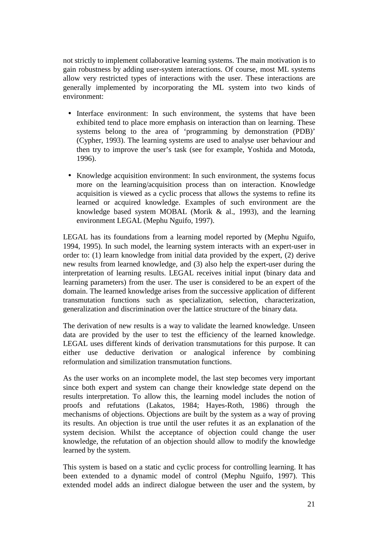not strictly to implement collaborative learning systems. The main motivation is to gain robustness by adding user-system interactions. Of course, most ML systems allow very restricted types of interactions with the user. These interactions are generally implemented by incorporating the ML system into two kinds of environment:

- Interface environment: In such environment, the systems that have been exhibited tend to place more emphasis on interaction than on learning. These systems belong to the area of 'programming by demonstration (PDB)' (Cypher, 1993). The learning systems are used to analyse user behaviour and then try to improve the user's task (see for example, Yoshida and Motoda, 1996).
- Knowledge acquisition environment: In such environment, the systems focus more on the learning/acquisition process than on interaction. Knowledge acquisition is viewed as a cyclic process that allows the systems to refine its learned or acquired knowledge. Examples of such environment are the knowledge based system MOBAL (Morik & al., 1993), and the learning environment LEGAL (Mephu Nguifo, 1997).

LEGAL has its foundations from a learning model reported by (Mephu Nguifo, 1994, 1995). In such model, the learning system interacts with an expert-user in order to: (1) learn knowledge from initial data provided by the expert, (2) derive new results from learned knowledge, and (3) also help the expert-user during the interpretation of learning results. LEGAL receives initial input (binary data and learning parameters) from the user. The user is considered to be an expert of the domain. The learned knowledge arises from the successive application of different transmutation functions such as specialization, selection, characterization, generalization and discrimination over the lattice structure of the binary data.

The derivation of new results is a way to validate the learned knowledge. Unseen data are provided by the user to test the efficiency of the learned knowledge. LEGAL uses different kinds of derivation transmutations for this purpose. It can either use deductive derivation or analogical inference by combining reformulation and similization transmutation functions.

As the user works on an incomplete model, the last step becomes very important since both expert and system can change their knowledge state depend on the results interpretation. To allow this, the learning model includes the notion of proofs and refutations (Lakatos, 1984; Hayes-Roth, 1986) through the mechanisms of objections. Objections are built by the system as a way of proving its results. An objection is true until the user refutes it as an explanation of the system decision. Whilst the acceptance of objection could change the user knowledge, the refutation of an objection should allow to modify the knowledge learned by the system.

This system is based on a static and cyclic process for controlling learning. It has been extended to a dynamic model of control (Mephu Nguifo, 1997). This extended model adds an indirect dialogue between the user and the system, by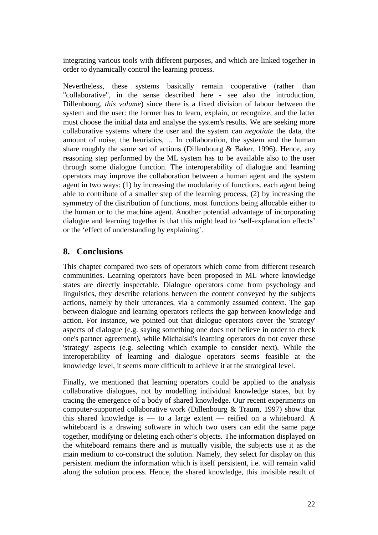integrating various tools with different purposes, and which are linked together in order to dynamically control the learning process.

Nevertheless, these systems basically remain cooperative (rather than "collaborative", in the sense described here - see also the introduction, Dillenbourg, *this volume*) since there is a fixed division of labour between the system and the user: the former has to learn, explain, or recognize, and the latter must choose the initial data and analyse the system's results. We are seeking more collaborative systems where the user and the system can *negotiate* the data, the amount of noise, the heuristics, ... In collaboration, the system and the human share roughly the same set of actions (Dillenbourg  $\&$  Baker, 1996). Hence, any reasoning step performed by the ML system has to be available also to the user through some dialogue function. The interoperability of dialogue and learning operators may improve the collaboration between a human agent and the system agent in two ways: (1) by increasing the modularity of functions, each agent being able to contribute of a smaller step of the learning process, (2) by increasing the symmetry of the distribution of functions, most functions being allocable either to the human or to the machine agent. Another potential advantage of incorporating dialogue and learning together is that this might lead to 'self-explanation effects' or the 'effect of understanding by explaining'.

## **8. Conclusions**

This chapter compared two sets of operators which come from different research communities. Learning operators have been proposed in ML where knowledge states are directly inspectable. Dialogue operators come from psychology and linguistics, they describe relations between the content conveyed by the subjects actions, namely by their utterances, via a commonly assumed context. The gap between dialogue and learning operators reflects the gap between knowledge and action. For instance, we pointed out that dialogue operators cover the 'strategy' aspects of dialogue (e.g. saying something one does not believe in order to check one's partner agreement), while Michalski's learning operators do not cover these 'strategy' aspects (e.g. selecting which example to consider next). While the interoperability of learning and dialogue operators seems feasible at the knowledge level, it seems more difficult to achieve it at the strategical level.

Finally, we mentioned that learning operators could be applied to the analysis collaborative dialogues, not by modelling individual knowledge states, but by tracing the emergence of a body of shared knowledge. Our recent experiments on computer-supported collaborative work (Dillenbourg & Traum, 1997) show that this shared knowledge is — to a large extent — reified on a whiteboard. A whiteboard is a drawing software in which two users can edit the same page together, modifying or deleting each other's objects. The information displayed on the whiteboard remains there and is mutually visible, the subjects use it as the main medium to co-construct the solution. Namely, they select for display on this persistent medium the information which is itself persistent, i.e. will remain valid along the solution process. Hence, the shared knowledge, this invisible result of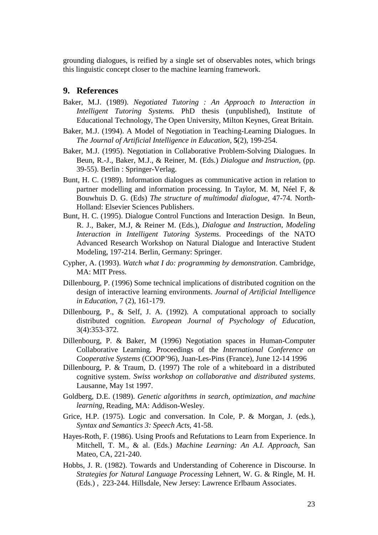grounding dialogues, is reified by a single set of observables notes, which brings this linguistic concept closer to the machine learning framework.

#### **9. References**

- Baker, M.J. (1989). *Negotiated Tutoring : An Approach to Interaction in Intelligent Tutoring Systems.* PhD thesis (unpublished), Institute of Educational Technology, The Open University, Milton Keynes, Great Britain.
- Baker, M.J. (1994). A Model of Negotiation in Teaching-Learning Dialogues. In *The Journal of Artificial Intelligence in Education,* **5**(2), 199-254.
- Baker, M.J. (1995). Negotiation in Collaborative Problem-Solving Dialogues. In Beun, R.-J., Baker, M.J., & Reiner, M. (Eds.) *Dialogue and Instruction*, (pp. 39-55). Berlin : Springer-Verlag.
- Bunt, H. C. (1989). Information dialogues as communicative action in relation to partner modelling and information processing. In Taylor, M. M, Néel F, & Bouwhuis D. G. (Eds) *The structure of multimodal dialogue,* 47-74. North-Holland: Elsevier Sciences Publishers.
- Bunt, H. C. (1995). Dialogue Control Functions and Interaction Design. In Beun, R. J., Baker, M.J, & Reiner M. (Eds.), *Dialogue and Instruction, Modeling Interaction in Intelligent Tutoring Systems*. Proceedings of the NATO Advanced Research Workshop on Natural Dialogue and Interactive Student Modeling, 197-214. Berlin, Germany: Springer.
- Cypher, A. (1993). *Watch what I do: programming by demonstration*. Cambridge, MA: MIT Press.
- Dillenbourg, P. (1996) Some technical implications of distributed cognition on the design of interactive learning environments. *Journal of Artificial Intelligence in Education*, 7 (2), 161-179.
- Dillenbourg, P., & Self, J. A. (1992). A computational approach to socially distributed cognition. *European Journal of Psychology of Education*, 3(4):353-372.
- Dillenbourg, P. & Baker, M (1996) Negotiation spaces in Human-Computer Collaborative Learning. Proceedings of the *International Conference on Cooperative Systems* (COOP'96), Juan-Les-Pins (France), June 12-14 1996
- Dillenbourg, P. & Traum, D. (1997) The role of a whiteboard in a distributed cognitive system. *Swiss workshop on collaborative and distributed systems*. Lausanne, May 1st 1997.
- Goldberg, D.E. (1989). *Genetic algorithms in search, optimization, and machine learning*, Reading, MA: Addison-Wesley.
- Grice, H.P. (1975). Logic and conversation. In Cole, P. & Morgan, J. (eds.), *Syntax and Semantics 3: Speech Acts*, 41-58.
- Hayes-Roth, F. (1986). Using Proofs and Refutations to Learn from Experience. In Mitchell, T. M., & al. (Eds.) *Machine Learning: An A.I. Approach*, San Mateo, CA, 221-240.
- Hobbs, J. R. (1982). Towards and Understanding of Coherence in Discourse. In *Strategies for Natural Language Processing* Lehnert, W. G. & Ringle, M. H. (Eds.) , 223-244. Hillsdale, New Jersey: Lawrence Erlbaum Associates.